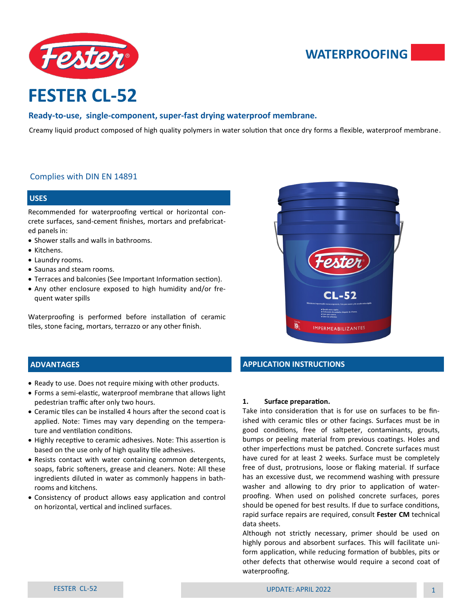

# **WATERPROOFING**

# **FESTER CL-52**

# **Ready-to-use, single-component, super-fast drying waterproof membrane.**

Creamy liquid product composed of high quality polymers in water solution that once dry forms a flexible, waterproof membrane.

# Complies with DIN EN 14891

#### **USES**

Recommended for waterproofing vertical or horizontal concrete surfaces, sand-cement finishes, mortars and prefabricated panels in:

- Shower stalls and walls in bathrooms.
- Kitchens.
- Laundry rooms.
- Saunas and steam rooms.
- Terraces and balconies (See Important Information section).
- Any other enclosure exposed to high humidity and/or frequent water spills

Waterproofing is performed before installation of ceramic tiles, stone facing, mortars, terrazzo or any other finish.



# **ADVANTAGES**

- Ready to use. Does not require mixing with other products.
- Forms a semi-elastic, waterproof membrane that allows light pedestrian traffic after only two hours.
- Ceramic tiles can be installed 4 hours after the second coat is applied. Note: Times may vary depending on the temperature and ventilation conditions.
- Highly receptive to ceramic adhesives. Note: This assertion is based on the use only of high quality tile adhesives.
- Resists contact with water containing common detergents, soaps, fabric softeners, grease and cleaners. Note: All these ingredients diluted in water as commonly happens in bathrooms and kitchens.
- Consistency of product allows easy application and control on horizontal, vertical and inclined surfaces.

# **APPLICATION INSTRUCTIONS**

#### **1. Surface preparation.**

Take into consideration that is for use on surfaces to be finished with ceramic tiles or other facings. Surfaces must be in good conditions, free of saltpeter, contaminants, grouts, bumps or peeling material from previous coatings. Holes and other imperfections must be patched. Concrete surfaces must have cured for at least 2 weeks. Surface must be completely free of dust, protrusions, loose or flaking material. If surface has an excessive dust, we recommend washing with pressure washer and allowing to dry prior to application of waterproofing. When used on polished concrete surfaces, pores should be opened for best results. If due to surface conditions, rapid surface repairs are required, consult **Fester CM** technical data sheets.

Although not strictly necessary, primer should be used on highly porous and absorbent surfaces. This will facilitate uniform application, while reducing formation of bubbles, pits or other defects that otherwise would require a second coat of waterproofing.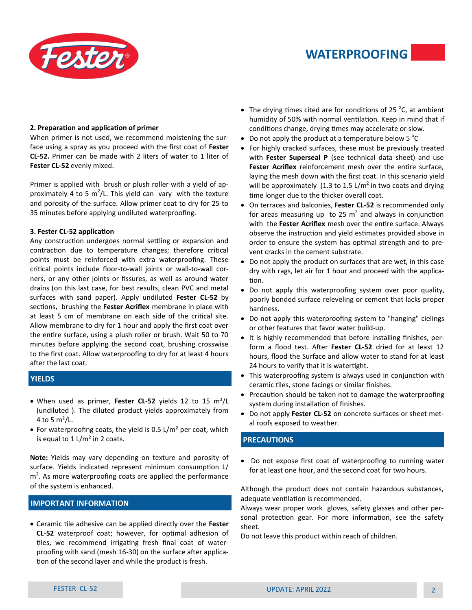

# **WATERPROOFING**

#### **2. Preparation and application of primer**

When primer is not used, we recommend moistening the surface using a spray as you proceed with the first coat of **Fester CL-52.** Primer can be made with 2 liters of water to 1 liter of **Fester CL-52** evenly mixed.

Primer is applied with brush or plush roller with a yield of approximately 4 to 5 m<sup>2</sup>/L. This yield can vary with the texture and porosity of the surface. Allow primer coat to dry for 25 to 35 minutes before applying undiluted waterproofing.

#### **3. Fester CL-52 application**

Any construction undergoes normal settling or expansion and contraction due to temperature changes; therefore critical points must be reinforced with extra waterproofing. These critical points include floor-to-wall joints or wall-to-wall corners, or any other joints or fissures, as well as around water drains (on this last case, for best results, clean PVC and metal surfaces with sand paper). Apply undiluted **Fester CL-52** by sections, brushing the **Fester Acriflex** membrane in place with at least 5 cm of membrane on each side of the critical site. Allow membrane to dry for 1 hour and apply the first coat over the entire surface, using a plush roller or brush. Wait 50 to 70 minutes before applying the second coat, brushing crosswise to the first coat. Allow waterproofing to dry for at least 4 hours after the last coat.

# **YIELDS**

- When used as primer, **Fester CL-52** yields 12 to 15 m²/L (undiluted ). The diluted product yields approximately from 4 to 5  $m^2/L$ .
- For waterproofing coats, the yield is 0.5 L/m<sup>2</sup> per coat, which is equal to  $1 \frac{\text{L}}{\text{m}^2}$  in 2 coats.

**Note:** Yields may vary depending on texture and porosity of surface. Yields indicated represent minimum consumption L/  $m<sup>2</sup>$ . As more waterproofing coats are applied the performance of the system is enhanced.

# **IMPORTANT INFORMATION**

• Ceramic tile adhesive can be applied directly over the **Fester CL-52** waterproof coat; however, for optimal adhesion of tiles, we recommend irrigating fresh final coat of waterproofing with sand (mesh 16-30) on the surface after application of the second layer and while the product is fresh.

- The drying times cited are for conditions of 25  $\degree$ C, at ambient humidity of 50% with normal ventilation. Keep in mind that if conditions change, drying times may accelerate or slow.
- Do not apply the product at a temperature below 5  $^{\circ}$ C
- For highly cracked surfaces, these must be previously treated with **Fester Superseal P** (see technical data sheet) and use **Fester Acriflex** reinforcement mesh over the entire surface, laying the mesh down with the first coat. In this scenario yield will be approximately (1.3 to 1.5 L/m<sup>2</sup> in two coats and drying time longer due to the thicker overall coat.
- On terraces and balconies, **Fester CL-52** is recommended only for areas measuring up to 25  $m^2$  and always in conjunction with the **Fester Acriflex** mesh over the entire surface. Always observe the instruction and yield estimates provided above in order to ensure the system has optimal strength and to prevent cracks in the cement substrate.
- Do not apply the product on surfaces that are wet, in this case dry with rags, let air for 1 hour and proceed with the application.
- Do not apply this waterproofing system over poor quality, poorly bonded surface releveling or cement that lacks proper hardness.
- Do not apply this waterproofing system to "hanging" cielings or other features that favor water build-up.
- It is highly recommended that before installing finishes, perform a flood test. After **Fester CL-52** dried for at least 12 hours, flood the Surface and allow water to stand for at least 24 hours to verify that it is watertight.
- This waterproofing system is always used in conjunction with ceramic tiles, stone facings or similar finishes.
- Precaution should be taken not to damage the waterproofing system during installation of finishes.
- Do not apply **Fester CL-52** on concrete surfaces or sheet metal roofs exposed to weather.

# **PRECAUTIONS**

• Do not expose first coat of waterproofing to running water for at least one hour, and the second coat for two hours.

Although the product does not contain hazardous substances, adequate ventilation is recommended.

Always wear proper work gloves, safety glasses and other personal protection gear. For more information, see the safety sheet.

Do not leave this product within reach of children.